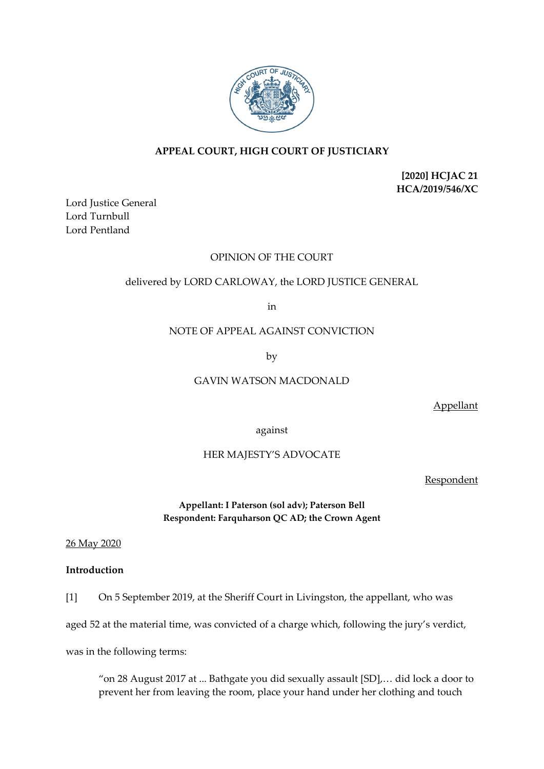

# **APPEAL COURT, HIGH COURT OF JUSTICIARY**

**[2020] HCJAC 21 HCA/2019/546/XC**

Lord Justice General Lord Turnbull Lord Pentland

## OPINION OF THE COURT

# delivered by LORD CARLOWAY, the LORD JUSTICE GENERAL

in

## NOTE OF APPEAL AGAINST CONVICTION

by

# GAVIN WATSON MACDONALD

Appellant

against

# HER MAJESTY'S ADVOCATE

Respondent

# **Appellant: I Paterson (sol adv); Paterson Bell Respondent: Farquharson QC AD; the Crown Agent**

26 May 2020

## **Introduction**

[1] On 5 September 2019, at the Sheriff Court in Livingston, the appellant, who was

aged 52 at the material time, was convicted of a charge which, following the jury's verdict,

was in the following terms:

"on 28 August 2017 at ... Bathgate you did sexually assault [SD],… did lock a door to prevent her from leaving the room, place your hand under her clothing and touch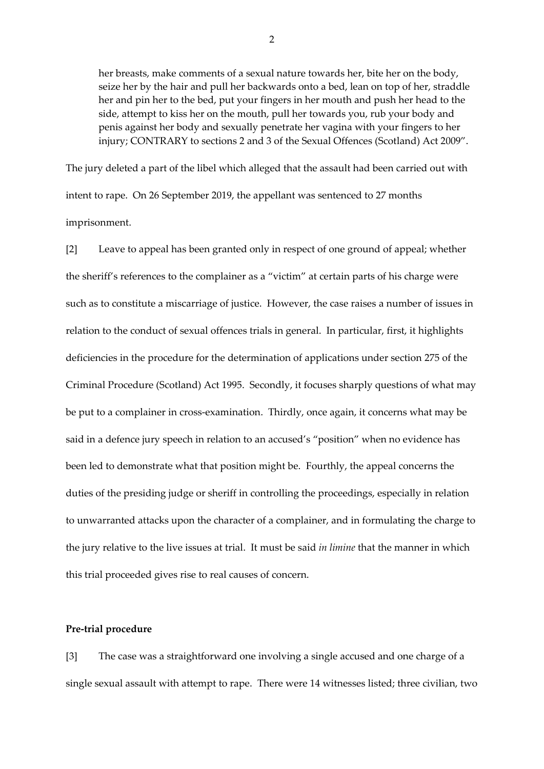her breasts, make comments of a sexual nature towards her, bite her on the body, seize her by the hair and pull her backwards onto a bed, lean on top of her, straddle her and pin her to the bed, put your fingers in her mouth and push her head to the side, attempt to kiss her on the mouth, pull her towards you, rub your body and penis against her body and sexually penetrate her vagina with your fingers to her injury; CONTRARY to sections 2 and 3 of the Sexual Offences (Scotland) Act 2009".

The jury deleted a part of the libel which alleged that the assault had been carried out with intent to rape. On 26 September 2019, the appellant was sentenced to 27 months imprisonment.

[2] Leave to appeal has been granted only in respect of one ground of appeal; whether the sheriff's references to the complainer as a "victim" at certain parts of his charge were such as to constitute a miscarriage of justice. However, the case raises a number of issues in relation to the conduct of sexual offences trials in general. In particular, first, it highlights deficiencies in the procedure for the determination of applications under section 275 of the Criminal Procedure (Scotland) Act 1995. Secondly, it focuses sharply questions of what may be put to a complainer in cross-examination. Thirdly, once again, it concerns what may be said in a defence jury speech in relation to an accused's "position" when no evidence has been led to demonstrate what that position might be. Fourthly, the appeal concerns the duties of the presiding judge or sheriff in controlling the proceedings, especially in relation to unwarranted attacks upon the character of a complainer, and in formulating the charge to the jury relative to the live issues at trial. It must be said *in limine* that the manner in which this trial proceeded gives rise to real causes of concern.

## **Pre-trial procedure**

[3] The case was a straightforward one involving a single accused and one charge of a single sexual assault with attempt to rape. There were 14 witnesses listed; three civilian, two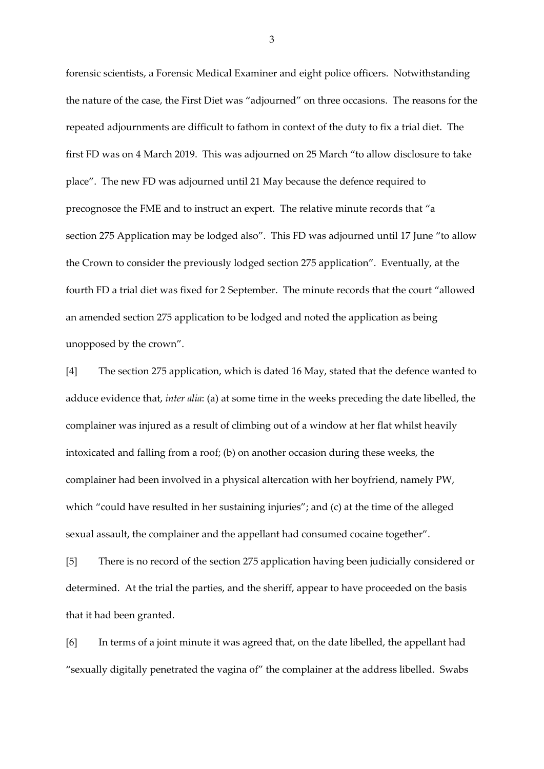forensic scientists, a Forensic Medical Examiner and eight police officers. Notwithstanding the nature of the case, the First Diet was "adjourned" on three occasions. The reasons for the repeated adjournments are difficult to fathom in context of the duty to fix a trial diet. The first FD was on 4 March 2019. This was adjourned on 25 March "to allow disclosure to take place". The new FD was adjourned until 21 May because the defence required to precognosce the FME and to instruct an expert. The relative minute records that "a section 275 Application may be lodged also". This FD was adjourned until 17 June "to allow the Crown to consider the previously lodged section 275 application". Eventually, at the fourth FD a trial diet was fixed for 2 September. The minute records that the court "allowed an amended section 275 application to be lodged and noted the application as being unopposed by the crown".

[4] The section 275 application, which is dated 16 May, stated that the defence wanted to adduce evidence that, *inter alia*: (a) at some time in the weeks preceding the date libelled, the complainer was injured as a result of climbing out of a window at her flat whilst heavily intoxicated and falling from a roof; (b) on another occasion during these weeks, the complainer had been involved in a physical altercation with her boyfriend, namely PW, which "could have resulted in her sustaining injuries"; and (c) at the time of the alleged sexual assault, the complainer and the appellant had consumed cocaine together".

[5] There is no record of the section 275 application having been judicially considered or determined. At the trial the parties, and the sheriff, appear to have proceeded on the basis that it had been granted.

[6] In terms of a joint minute it was agreed that, on the date libelled, the appellant had "sexually digitally penetrated the vagina of" the complainer at the address libelled. Swabs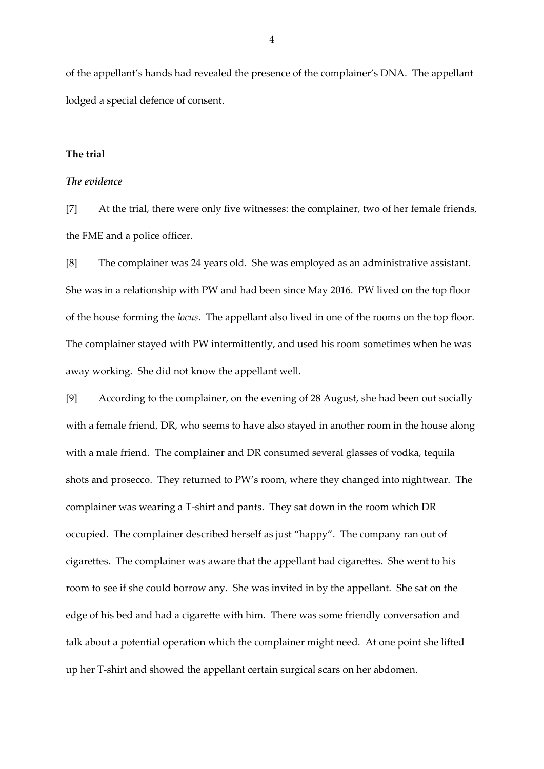of the appellant's hands had revealed the presence of the complainer's DNA. The appellant lodged a special defence of consent.

## **The trial**

### *The evidence*

[7] At the trial, there were only five witnesses: the complainer, two of her female friends, the FME and a police officer.

[8] The complainer was 24 years old. She was employed as an administrative assistant. She was in a relationship with PW and had been since May 2016. PW lived on the top floor of the house forming the *locus*. The appellant also lived in one of the rooms on the top floor. The complainer stayed with PW intermittently, and used his room sometimes when he was away working. She did not know the appellant well.

[9] According to the complainer, on the evening of 28 August, she had been out socially with a female friend, DR, who seems to have also stayed in another room in the house along with a male friend. The complainer and DR consumed several glasses of vodka, tequila shots and prosecco. They returned to PW's room, where they changed into nightwear. The complainer was wearing a T-shirt and pants. They sat down in the room which DR occupied. The complainer described herself as just "happy". The company ran out of cigarettes. The complainer was aware that the appellant had cigarettes. She went to his room to see if she could borrow any. She was invited in by the appellant. She sat on the edge of his bed and had a cigarette with him. There was some friendly conversation and talk about a potential operation which the complainer might need. At one point she lifted up her T-shirt and showed the appellant certain surgical scars on her abdomen.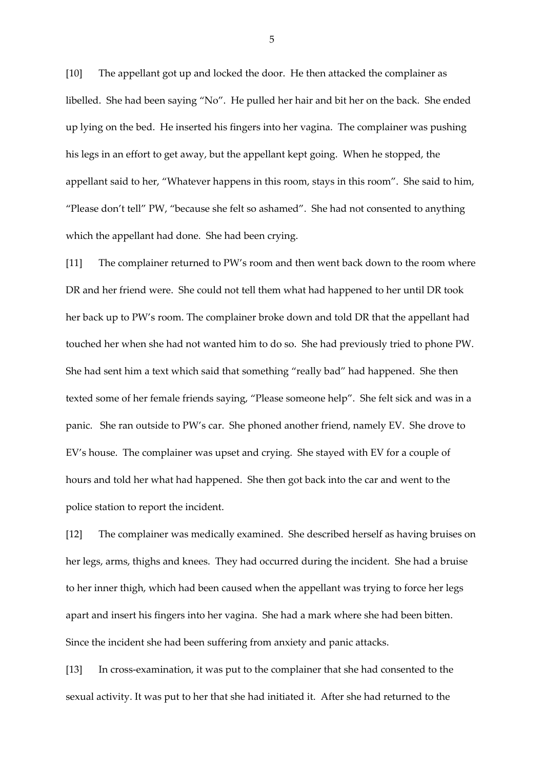[10] The appellant got up and locked the door. He then attacked the complainer as libelled. She had been saying "No". He pulled her hair and bit her on the back. She ended up lying on the bed. He inserted his fingers into her vagina. The complainer was pushing his legs in an effort to get away, but the appellant kept going. When he stopped, the appellant said to her, "Whatever happens in this room, stays in this room". She said to him, "Please don't tell" PW, "because she felt so ashamed". She had not consented to anything which the appellant had done. She had been crying.

[11] The complainer returned to PW's room and then went back down to the room where DR and her friend were. She could not tell them what had happened to her until DR took her back up to PW's room. The complainer broke down and told DR that the appellant had touched her when she had not wanted him to do so. She had previously tried to phone PW. She had sent him a text which said that something "really bad" had happened. She then texted some of her female friends saying, "Please someone help". She felt sick and was in a panic. She ran outside to PW's car. She phoned another friend, namely EV. She drove to EV's house. The complainer was upset and crying. She stayed with EV for a couple of hours and told her what had happened. She then got back into the car and went to the police station to report the incident.

[12] The complainer was medically examined. She described herself as having bruises on her legs, arms, thighs and knees. They had occurred during the incident. She had a bruise to her inner thigh, which had been caused when the appellant was trying to force her legs apart and insert his fingers into her vagina. She had a mark where she had been bitten. Since the incident she had been suffering from anxiety and panic attacks.

[13] In cross-examination, it was put to the complainer that she had consented to the sexual activity. It was put to her that she had initiated it. After she had returned to the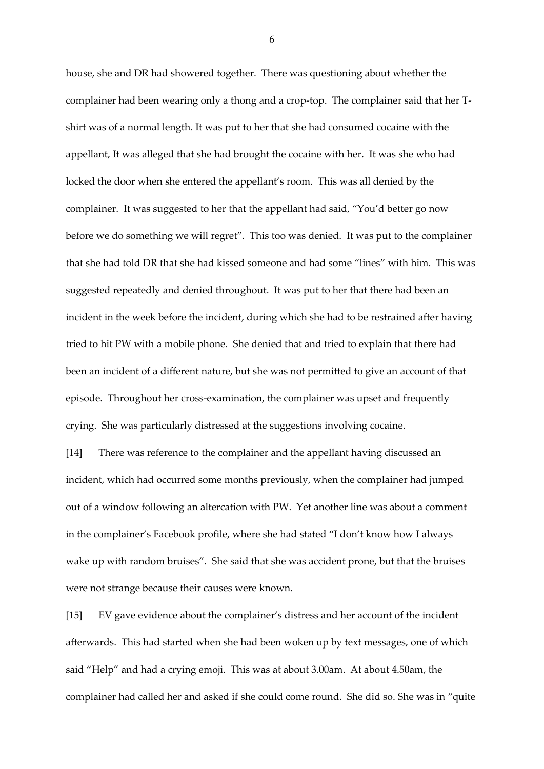house, she and DR had showered together. There was questioning about whether the complainer had been wearing only a thong and a crop-top. The complainer said that her Tshirt was of a normal length. It was put to her that she had consumed cocaine with the appellant, It was alleged that she had brought the cocaine with her. It was she who had locked the door when she entered the appellant's room. This was all denied by the complainer. It was suggested to her that the appellant had said, "You'd better go now before we do something we will regret". This too was denied. It was put to the complainer that she had told DR that she had kissed someone and had some "lines" with him. This was suggested repeatedly and denied throughout. It was put to her that there had been an incident in the week before the incident, during which she had to be restrained after having tried to hit PW with a mobile phone. She denied that and tried to explain that there had been an incident of a different nature, but she was not permitted to give an account of that episode. Throughout her cross-examination, the complainer was upset and frequently crying. She was particularly distressed at the suggestions involving cocaine.

[14] There was reference to the complainer and the appellant having discussed an incident, which had occurred some months previously, when the complainer had jumped out of a window following an altercation with PW. Yet another line was about a comment in the complainer's Facebook profile, where she had stated "I don't know how I always wake up with random bruises". She said that she was accident prone, but that the bruises were not strange because their causes were known.

[15] EV gave evidence about the complainer's distress and her account of the incident afterwards. This had started when she had been woken up by text messages, one of which said "Help" and had a crying emoji. This was at about 3.00am. At about 4.50am, the complainer had called her and asked if she could come round. She did so. She was in "quite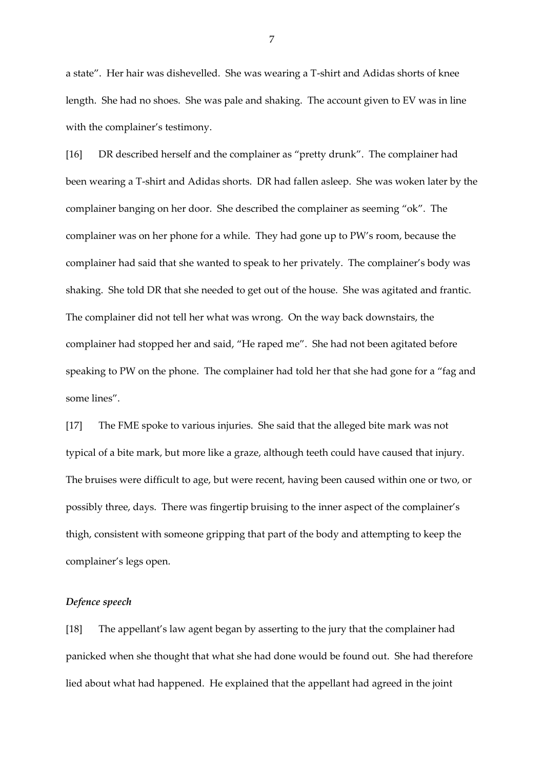a state". Her hair was dishevelled. She was wearing a T-shirt and Adidas shorts of knee length. She had no shoes. She was pale and shaking. The account given to EV was in line with the complainer's testimony.

[16] DR described herself and the complainer as "pretty drunk". The complainer had been wearing a T-shirt and Adidas shorts. DR had fallen asleep. She was woken later by the complainer banging on her door. She described the complainer as seeming "ok". The complainer was on her phone for a while. They had gone up to PW's room, because the complainer had said that she wanted to speak to her privately. The complainer's body was shaking. She told DR that she needed to get out of the house. She was agitated and frantic. The complainer did not tell her what was wrong. On the way back downstairs, the complainer had stopped her and said, "He raped me". She had not been agitated before speaking to PW on the phone. The complainer had told her that she had gone for a "fag and some lines".

[17] The FME spoke to various injuries. She said that the alleged bite mark was not typical of a bite mark, but more like a graze, although teeth could have caused that injury. The bruises were difficult to age, but were recent, having been caused within one or two, or possibly three, days. There was fingertip bruising to the inner aspect of the complainer's thigh, consistent with someone gripping that part of the body and attempting to keep the complainer's legs open.

### *Defence speech*

[18] The appellant's law agent began by asserting to the jury that the complainer had panicked when she thought that what she had done would be found out. She had therefore lied about what had happened. He explained that the appellant had agreed in the joint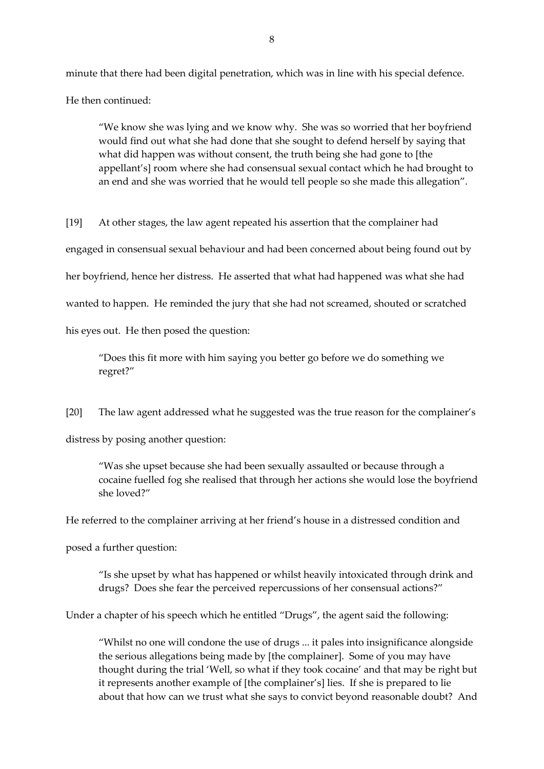minute that there had been digital penetration, which was in line with his special defence. He then continued:

"We know she was lying and we know why. She was so worried that her boyfriend would find out what she had done that she sought to defend herself by saying that what did happen was without consent, the truth being she had gone to [the appellant's] room where she had consensual sexual contact which he had brought to an end and she was worried that he would tell people so she made this allegation".

[19] At other stages, the law agent repeated his assertion that the complainer had engaged in consensual sexual behaviour and had been concerned about being found out by her boyfriend, hence her distress. He asserted that what had happened was what she had wanted to happen. He reminded the jury that she had not screamed, shouted or scratched his eyes out. He then posed the question:

"Does this fit more with him saying you better go before we do something we regret?"

[20] The law agent addressed what he suggested was the true reason for the complainer's

distress by posing another question:

"Was she upset because she had been sexually assaulted or because through a cocaine fuelled fog she realised that through her actions she would lose the boyfriend she loved?"

He referred to the complainer arriving at her friend's house in a distressed condition and

posed a further question:

"Is she upset by what has happened or whilst heavily intoxicated through drink and drugs? Does she fear the perceived repercussions of her consensual actions?"

Under a chapter of his speech which he entitled "Drugs", the agent said the following:

"Whilst no one will condone the use of drugs ... it pales into insignificance alongside the serious allegations being made by [the complainer]. Some of you may have thought during the trial 'Well, so what if they took cocaine' and that may be right but it represents another example of [the complainer's] lies. If she is prepared to lie about that how can we trust what she says to convict beyond reasonable doubt? And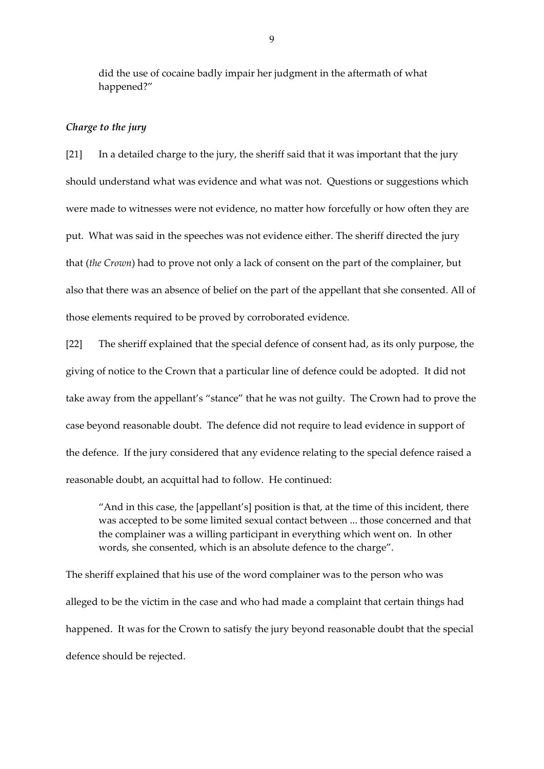did the use of cocaine badly impair her judgment in the aftermath of what happened?"

## *Charge to the jury*

[21] In a detailed charge to the jury, the sheriff said that it was important that the jury should understand what was evidence and what was not. Questions or suggestions which were made to witnesses were not evidence, no matter how forcefully or how often they are put. What was said in the speeches was not evidence either. The sheriff directed the jury that (*the Crown*) had to prove not only a lack of consent on the part of the complainer, but also that there was an absence of belief on the part of the appellant that she consented. All of those elements required to be proved by corroborated evidence.

[22] The sheriff explained that the special defence of consent had, as its only purpose, the giving of notice to the Crown that a particular line of defence could be adopted. It did not take away from the appellant's "stance" that he was not guilty. The Crown had to prove the case beyond reasonable doubt. The defence did not require to lead evidence in support of the defence. If the jury considered that any evidence relating to the special defence raised a reasonable doubt, an acquittal had to follow. He continued:

"And in this case, the [appellant's] position is that, at the time of this incident, there was accepted to be some limited sexual contact between ... those concerned and that the complainer was a willing participant in everything which went on. In other words, she consented, which is an absolute defence to the charge".

The sheriff explained that his use of the word complainer was to the person who was alleged to be the victim in the case and who had made a complaint that certain things had happened. It was for the Crown to satisfy the jury beyond reasonable doubt that the special defence should be rejected.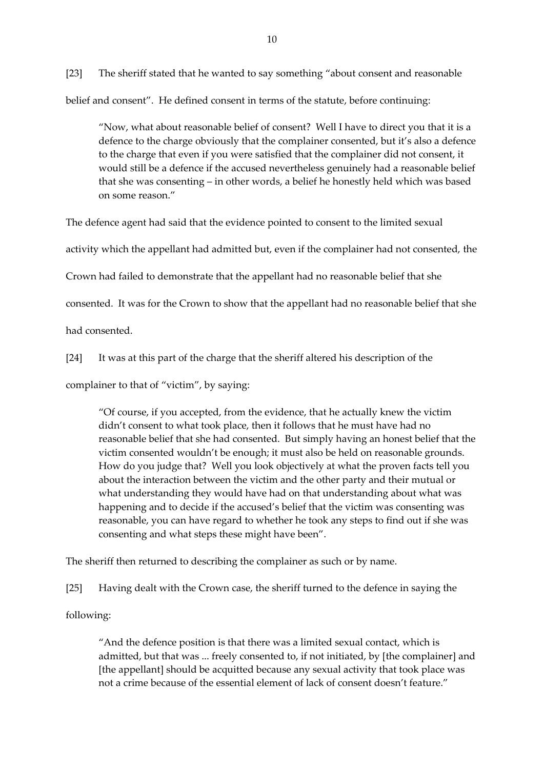[23] The sheriff stated that he wanted to say something "about consent and reasonable belief and consent". He defined consent in terms of the statute, before continuing:

"Now, what about reasonable belief of consent? Well I have to direct you that it is a defence to the charge obviously that the complainer consented, but it's also a defence to the charge that even if you were satisfied that the complainer did not consent, it would still be a defence if the accused nevertheless genuinely had a reasonable belief that she was consenting – in other words, a belief he honestly held which was based on some reason."

The defence agent had said that the evidence pointed to consent to the limited sexual

activity which the appellant had admitted but, even if the complainer had not consented, the

Crown had failed to demonstrate that the appellant had no reasonable belief that she

consented. It was for the Crown to show that the appellant had no reasonable belief that she

had consented.

[24] It was at this part of the charge that the sheriff altered his description of the

complainer to that of "victim", by saying:

"Of course, if you accepted, from the evidence, that he actually knew the victim didn't consent to what took place, then it follows that he must have had no reasonable belief that she had consented. But simply having an honest belief that the victim consented wouldn't be enough; it must also be held on reasonable grounds. How do you judge that? Well you look objectively at what the proven facts tell you about the interaction between the victim and the other party and their mutual or what understanding they would have had on that understanding about what was happening and to decide if the accused's belief that the victim was consenting was reasonable, you can have regard to whether he took any steps to find out if she was consenting and what steps these might have been".

The sheriff then returned to describing the complainer as such or by name.

[25] Having dealt with the Crown case, the sheriff turned to the defence in saying the

following:

"And the defence position is that there was a limited sexual contact, which is admitted, but that was ... freely consented to, if not initiated, by [the complainer] and [the appellant] should be acquitted because any sexual activity that took place was not a crime because of the essential element of lack of consent doesn't feature."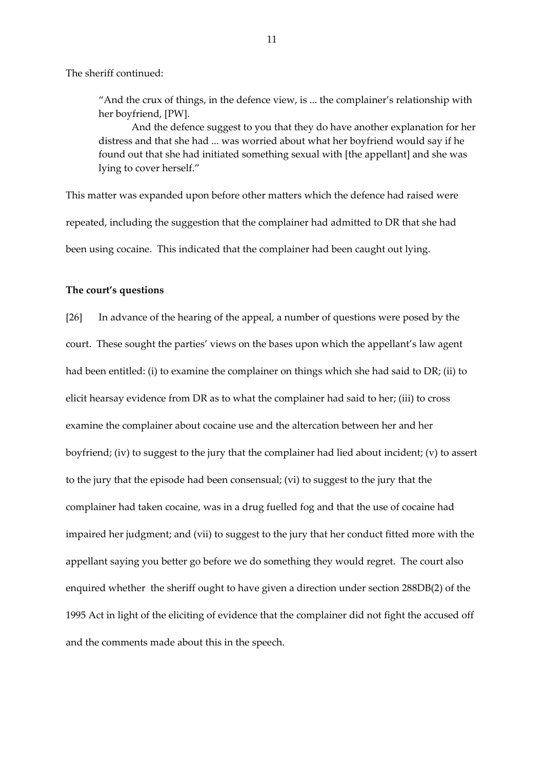The sheriff continued:

"And the crux of things, in the defence view, is ... the complainer's relationship with her boyfriend, [PW].

And the defence suggest to you that they do have another explanation for her distress and that she had ... was worried about what her boyfriend would say if he found out that she had initiated something sexual with [the appellant] and she was lying to cover herself."

This matter was expanded upon before other matters which the defence had raised were repeated, including the suggestion that the complainer had admitted to DR that she had been using cocaine. This indicated that the complainer had been caught out lying.

### **The court's questions**

[26] In advance of the hearing of the appeal, a number of questions were posed by the court. These sought the parties' views on the bases upon which the appellant's law agent had been entitled: (i) to examine the complainer on things which she had said to DR; (ii) to elicit hearsay evidence from DR as to what the complainer had said to her; (iii) to cross examine the complainer about cocaine use and the altercation between her and her boyfriend; (iv) to suggest to the jury that the complainer had lied about incident; (v) to assert to the jury that the episode had been consensual; (vi) to suggest to the jury that the complainer had taken cocaine, was in a drug fuelled fog and that the use of cocaine had impaired her judgment; and (vii) to suggest to the jury that her conduct fitted more with the appellant saying you better go before we do something they would regret. The court also enquired whether the sheriff ought to have given a direction under section 288DB(2) of the 1995 Act in light of the eliciting of evidence that the complainer did not fight the accused off and the comments made about this in the speech.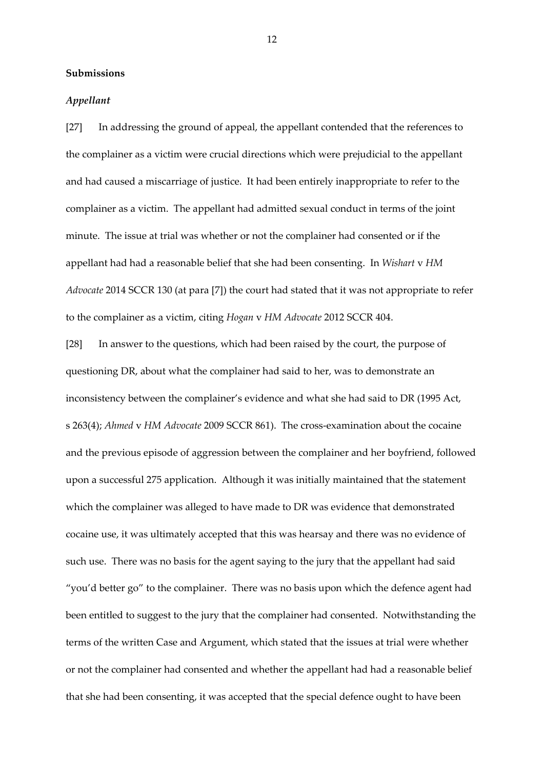## **Submissions**

### *Appellant*

[27] In addressing the ground of appeal, the appellant contended that the references to the complainer as a victim were crucial directions which were prejudicial to the appellant and had caused a miscarriage of justice. It had been entirely inappropriate to refer to the complainer as a victim. The appellant had admitted sexual conduct in terms of the joint minute. The issue at trial was whether or not the complainer had consented or if the appellant had had a reasonable belief that she had been consenting. In *Wishart* v *HM Advocate* 2014 SCCR 130 (at para [7]) the court had stated that it was not appropriate to refer to the complainer as a victim, citing *Hogan* v *HM Advocate* 2012 SCCR 404.

[28] In answer to the questions, which had been raised by the court, the purpose of questioning DR, about what the complainer had said to her, was to demonstrate an inconsistency between the complainer's evidence and what she had said to DR (1995 Act, s 263(4); *Ahmed* v *HM Advocate* 2009 SCCR 861). The cross-examination about the cocaine and the previous episode of aggression between the complainer and her boyfriend, followed upon a successful 275 application. Although it was initially maintained that the statement which the complainer was alleged to have made to DR was evidence that demonstrated cocaine use, it was ultimately accepted that this was hearsay and there was no evidence of such use. There was no basis for the agent saying to the jury that the appellant had said "you'd better go" to the complainer. There was no basis upon which the defence agent had been entitled to suggest to the jury that the complainer had consented. Notwithstanding the terms of the written Case and Argument, which stated that the issues at trial were whether or not the complainer had consented and whether the appellant had had a reasonable belief that she had been consenting, it was accepted that the special defence ought to have been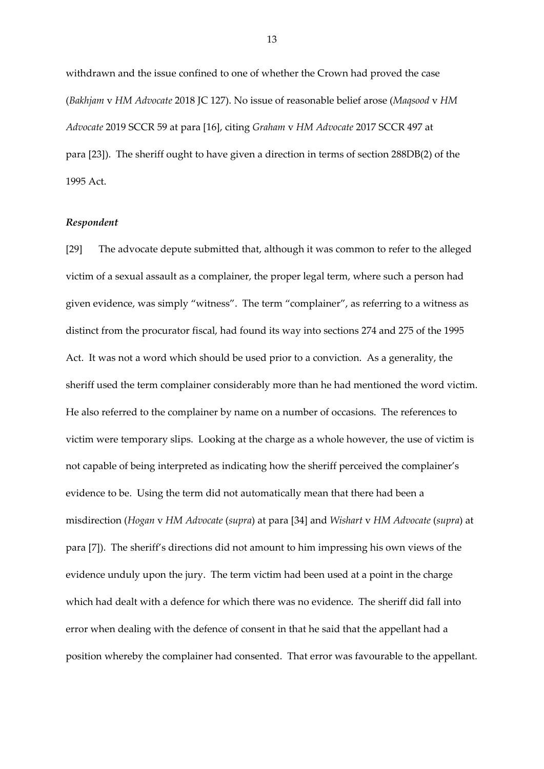withdrawn and the issue confined to one of whether the Crown had proved the case (*Bakhjam* v *HM Advocate* 2018 JC 127). No issue of reasonable belief arose (*Maqsood* v *HM Advocate* 2019 SCCR 59 at para [16], citing *Graham* v *HM Advocate* 2017 SCCR 497 at para [23]). The sheriff ought to have given a direction in terms of section 288DB(2) of the 1995 Act.

### *Respondent*

[29] The advocate depute submitted that, although it was common to refer to the alleged victim of a sexual assault as a complainer, the proper legal term, where such a person had given evidence, was simply "witness". The term "complainer", as referring to a witness as distinct from the procurator fiscal, had found its way into sections 274 and 275 of the 1995 Act. It was not a word which should be used prior to a conviction. As a generality, the sheriff used the term complainer considerably more than he had mentioned the word victim. He also referred to the complainer by name on a number of occasions. The references to victim were temporary slips. Looking at the charge as a whole however, the use of victim is not capable of being interpreted as indicating how the sheriff perceived the complainer's evidence to be. Using the term did not automatically mean that there had been a misdirection (*Hogan* v *HM Advocate* (*supra*) at para [34] and *Wishart* v *HM Advocate* (*supra*) at para [7]). The sheriff's directions did not amount to him impressing his own views of the evidence unduly upon the jury. The term victim had been used at a point in the charge which had dealt with a defence for which there was no evidence. The sheriff did fall into error when dealing with the defence of consent in that he said that the appellant had a position whereby the complainer had consented. That error was favourable to the appellant.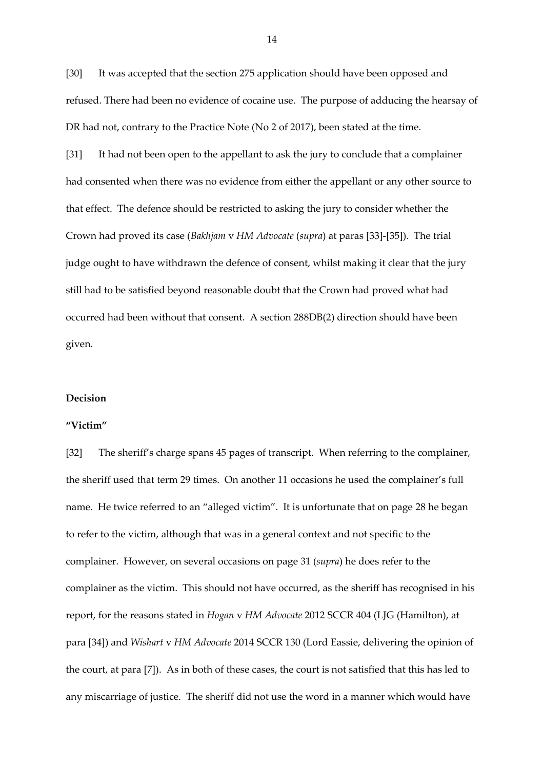[30] It was accepted that the section 275 application should have been opposed and refused. There had been no evidence of cocaine use. The purpose of adducing the hearsay of DR had not, contrary to the Practice Note (No 2 of 2017), been stated at the time.

[31] It had not been open to the appellant to ask the jury to conclude that a complainer had consented when there was no evidence from either the appellant or any other source to that effect. The defence should be restricted to asking the jury to consider whether the Crown had proved its case (*Bakhjam* v *HM Advocate* (*supra*) at paras [33]-[35]). The trial judge ought to have withdrawn the defence of consent, whilst making it clear that the jury still had to be satisfied beyond reasonable doubt that the Crown had proved what had occurred had been without that consent. A section 288DB(2) direction should have been given.

#### **Decision**

#### **"Victim"**

[32] The sheriff's charge spans 45 pages of transcript. When referring to the complainer, the sheriff used that term 29 times. On another 11 occasions he used the complainer's full name. He twice referred to an "alleged victim". It is unfortunate that on page 28 he began to refer to the victim, although that was in a general context and not specific to the complainer. However, on several occasions on page 31 (*supra*) he does refer to the complainer as the victim. This should not have occurred, as the sheriff has recognised in his report, for the reasons stated in *Hogan* v *HM Advocate* 2012 SCCR 404 (LJG (Hamilton), at para [34]) and *Wishart* v *HM Advocate* 2014 SCCR 130 (Lord Eassie, delivering the opinion of the court, at para [7]). As in both of these cases, the court is not satisfied that this has led to any miscarriage of justice. The sheriff did not use the word in a manner which would have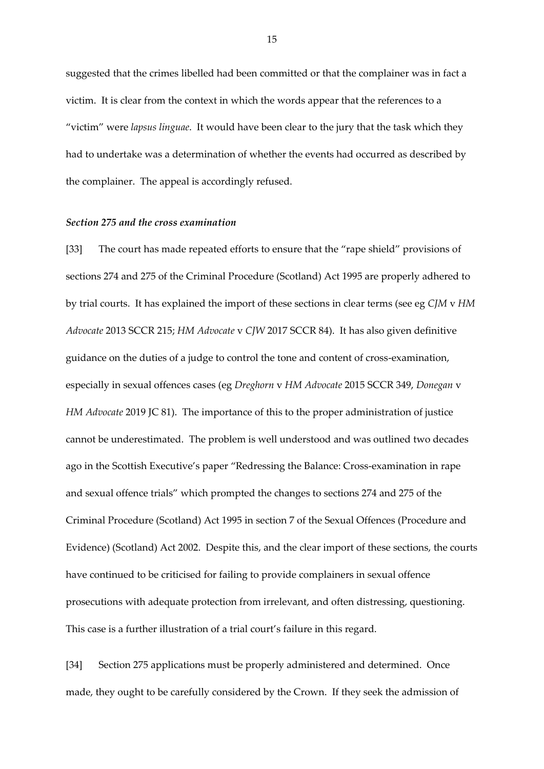suggested that the crimes libelled had been committed or that the complainer was in fact a victim. It is clear from the context in which the words appear that the references to a "victim" were *lapsus linguae*. It would have been clear to the jury that the task which they had to undertake was a determination of whether the events had occurred as described by the complainer. The appeal is accordingly refused.

#### *Section 275 and the cross examination*

[33] The court has made repeated efforts to ensure that the "rape shield" provisions of sections 274 and 275 of the Criminal Procedure (Scotland) Act 1995 are properly adhered to by trial courts. It has explained the import of these sections in clear terms (see eg *CJM* v *HM Advocate* 2013 SCCR 215; *HM Advocate* v *CJW* 2017 SCCR 84). It has also given definitive guidance on the duties of a judge to control the tone and content of cross-examination, especially in sexual offences cases (eg *Dreghorn* v *HM Advocate* 2015 SCCR 349, *Donegan* v *HM Advocate* 2019 JC 81). The importance of this to the proper administration of justice cannot be underestimated. The problem is well understood and was outlined two decades ago in the Scottish Executive's paper "Redressing the Balance: Cross-examination in rape and sexual offence trials" which prompted the changes to sections 274 and 275 of the Criminal Procedure (Scotland) Act 1995 in section 7 of the Sexual Offences (Procedure and Evidence) (Scotland) Act 2002. Despite this, and the clear import of these sections, the courts have continued to be criticised for failing to provide complainers in sexual offence prosecutions with adequate protection from irrelevant, and often distressing, questioning. This case is a further illustration of a trial court's failure in this regard.

[34] Section 275 applications must be properly administered and determined. Once made, they ought to be carefully considered by the Crown. If they seek the admission of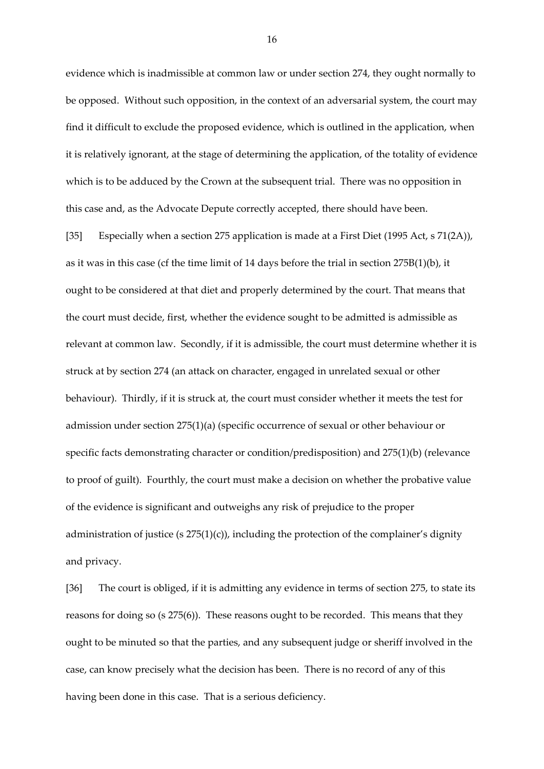evidence which is inadmissible at common law or under section 274, they ought normally to be opposed. Without such opposition, in the context of an adversarial system, the court may find it difficult to exclude the proposed evidence, which is outlined in the application, when it is relatively ignorant, at the stage of determining the application, of the totality of evidence which is to be adduced by the Crown at the subsequent trial. There was no opposition in this case and, as the Advocate Depute correctly accepted, there should have been.

[35] Especially when a section 275 application is made at a First Diet (1995 Act, s 71(2A)), as it was in this case (cf the time limit of 14 days before the trial in section 275B(1)(b), it ought to be considered at that diet and properly determined by the court. That means that the court must decide, first, whether the evidence sought to be admitted is admissible as relevant at common law. Secondly, if it is admissible, the court must determine whether it is struck at by section 274 (an attack on character, engaged in unrelated sexual or other behaviour). Thirdly, if it is struck at, the court must consider whether it meets the test for admission under section 275(1)(a) (specific occurrence of sexual or other behaviour or specific facts demonstrating character or condition/predisposition) and 275(1)(b) (relevance to proof of guilt). Fourthly, the court must make a decision on whether the probative value of the evidence is significant and outweighs any risk of prejudice to the proper administration of justice (s  $275(1)(c)$ ), including the protection of the complainer's dignity and privacy.

[36] The court is obliged, if it is admitting any evidence in terms of section 275, to state its reasons for doing so (s 275(6)). These reasons ought to be recorded. This means that they ought to be minuted so that the parties, and any subsequent judge or sheriff involved in the case, can know precisely what the decision has been. There is no record of any of this having been done in this case. That is a serious deficiency.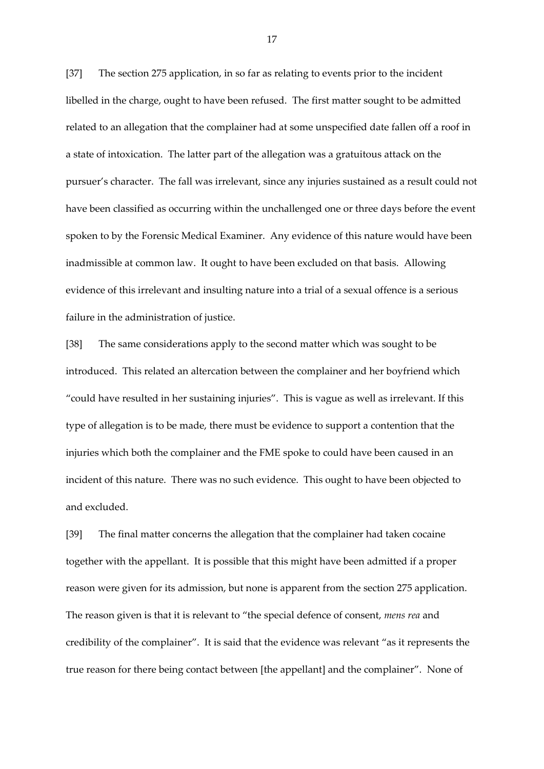[37] The section 275 application, in so far as relating to events prior to the incident libelled in the charge, ought to have been refused. The first matter sought to be admitted related to an allegation that the complainer had at some unspecified date fallen off a roof in a state of intoxication. The latter part of the allegation was a gratuitous attack on the pursuer's character. The fall was irrelevant, since any injuries sustained as a result could not have been classified as occurring within the unchallenged one or three days before the event spoken to by the Forensic Medical Examiner. Any evidence of this nature would have been inadmissible at common law. It ought to have been excluded on that basis. Allowing evidence of this irrelevant and insulting nature into a trial of a sexual offence is a serious failure in the administration of justice.

[38] The same considerations apply to the second matter which was sought to be introduced. This related an altercation between the complainer and her boyfriend which "could have resulted in her sustaining injuries". This is vague as well as irrelevant. If this type of allegation is to be made, there must be evidence to support a contention that the injuries which both the complainer and the FME spoke to could have been caused in an incident of this nature. There was no such evidence. This ought to have been objected to and excluded.

[39] The final matter concerns the allegation that the complainer had taken cocaine together with the appellant. It is possible that this might have been admitted if a proper reason were given for its admission, but none is apparent from the section 275 application. The reason given is that it is relevant to "the special defence of consent, *mens rea* and credibility of the complainer". It is said that the evidence was relevant "as it represents the true reason for there being contact between [the appellant] and the complainer". None of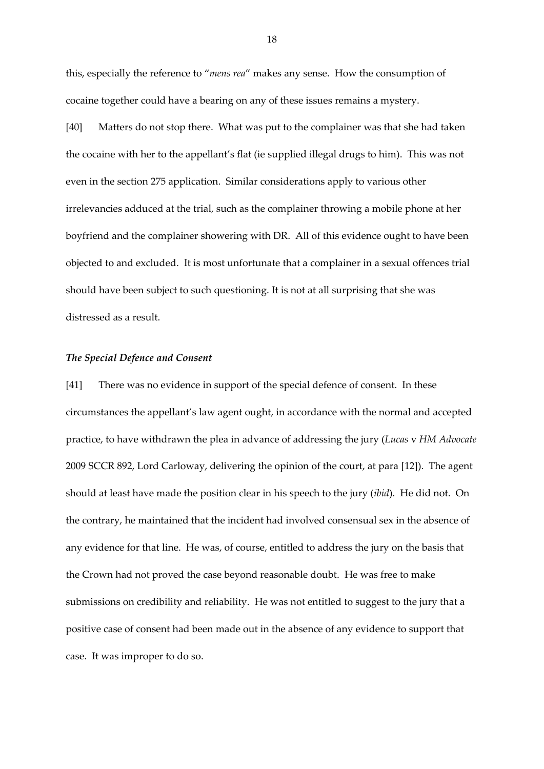this, especially the reference to "*mens rea*" makes any sense. How the consumption of cocaine together could have a bearing on any of these issues remains a mystery.

[40] Matters do not stop there. What was put to the complainer was that she had taken the cocaine with her to the appellant's flat (ie supplied illegal drugs to him). This was not even in the section 275 application. Similar considerations apply to various other irrelevancies adduced at the trial, such as the complainer throwing a mobile phone at her boyfriend and the complainer showering with DR. All of this evidence ought to have been objected to and excluded. It is most unfortunate that a complainer in a sexual offences trial should have been subject to such questioning. It is not at all surprising that she was distressed as a result.

#### *The Special Defence and Consent*

[41] There was no evidence in support of the special defence of consent. In these circumstances the appellant's law agent ought, in accordance with the normal and accepted practice, to have withdrawn the plea in advance of addressing the jury (*Lucas* v *HM Advocate* 2009 SCCR 892, Lord Carloway, delivering the opinion of the court, at para [12]). The agent should at least have made the position clear in his speech to the jury (*ibid*). He did not. On the contrary, he maintained that the incident had involved consensual sex in the absence of any evidence for that line. He was, of course, entitled to address the jury on the basis that the Crown had not proved the case beyond reasonable doubt. He was free to make submissions on credibility and reliability. He was not entitled to suggest to the jury that a positive case of consent had been made out in the absence of any evidence to support that case. It was improper to do so.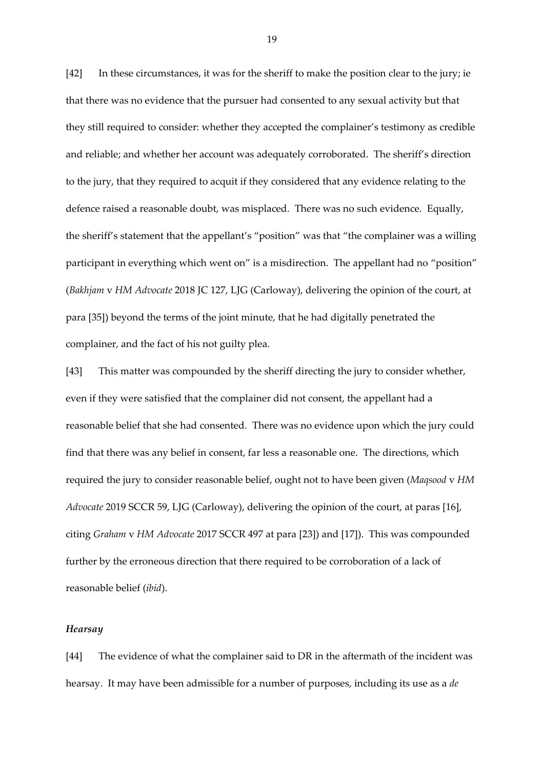[42] In these circumstances, it was for the sheriff to make the position clear to the jury; ie that there was no evidence that the pursuer had consented to any sexual activity but that they still required to consider: whether they accepted the complainer's testimony as credible and reliable; and whether her account was adequately corroborated. The sheriff's direction to the jury, that they required to acquit if they considered that any evidence relating to the defence raised a reasonable doubt, was misplaced. There was no such evidence. Equally, the sheriff's statement that the appellant's "position" was that "the complainer was a willing participant in everything which went on" is a misdirection. The appellant had no "position" (*Bakhjam* v *HM Advocate* 2018 JC 127, LJG (Carloway), delivering the opinion of the court, at para [35]) beyond the terms of the joint minute, that he had digitally penetrated the complainer, and the fact of his not guilty plea.

[43] This matter was compounded by the sheriff directing the jury to consider whether, even if they were satisfied that the complainer did not consent, the appellant had a reasonable belief that she had consented. There was no evidence upon which the jury could find that there was any belief in consent, far less a reasonable one. The directions, which required the jury to consider reasonable belief, ought not to have been given (*Maqsood* v *HM Advocate* 2019 SCCR 59, LJG (Carloway), delivering the opinion of the court, at paras [16], citing *Graham* v *HM Advocate* 2017 SCCR 497 at para [23]) and [17]). This was compounded further by the erroneous direction that there required to be corroboration of a lack of reasonable belief (*ibid*).

## *Hearsay*

[44] The evidence of what the complainer said to DR in the aftermath of the incident was hearsay. It may have been admissible for a number of purposes, including its use as a *de*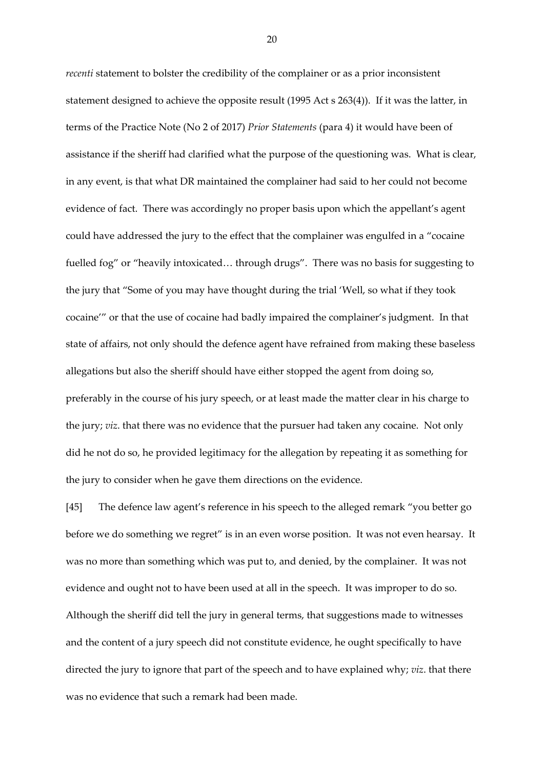*recenti* statement to bolster the credibility of the complainer or as a prior inconsistent statement designed to achieve the opposite result (1995 Act s 263(4)). If it was the latter, in terms of the Practice Note (No 2 of 2017) *Prior Statements* (para 4) it would have been of assistance if the sheriff had clarified what the purpose of the questioning was. What is clear, in any event, is that what DR maintained the complainer had said to her could not become evidence of fact. There was accordingly no proper basis upon which the appellant's agent could have addressed the jury to the effect that the complainer was engulfed in a "cocaine fuelled fog" or "heavily intoxicated… through drugs". There was no basis for suggesting to the jury that "Some of you may have thought during the trial 'Well, so what if they took cocaine'" or that the use of cocaine had badly impaired the complainer's judgment. In that state of affairs, not only should the defence agent have refrained from making these baseless allegations but also the sheriff should have either stopped the agent from doing so, preferably in the course of his jury speech, or at least made the matter clear in his charge to the jury; *viz*. that there was no evidence that the pursuer had taken any cocaine. Not only did he not do so, he provided legitimacy for the allegation by repeating it as something for the jury to consider when he gave them directions on the evidence.

[45] The defence law agent's reference in his speech to the alleged remark "you better go before we do something we regret" is in an even worse position. It was not even hearsay. It was no more than something which was put to, and denied, by the complainer. It was not evidence and ought not to have been used at all in the speech. It was improper to do so. Although the sheriff did tell the jury in general terms, that suggestions made to witnesses and the content of a jury speech did not constitute evidence, he ought specifically to have directed the jury to ignore that part of the speech and to have explained why; *viz*. that there was no evidence that such a remark had been made.